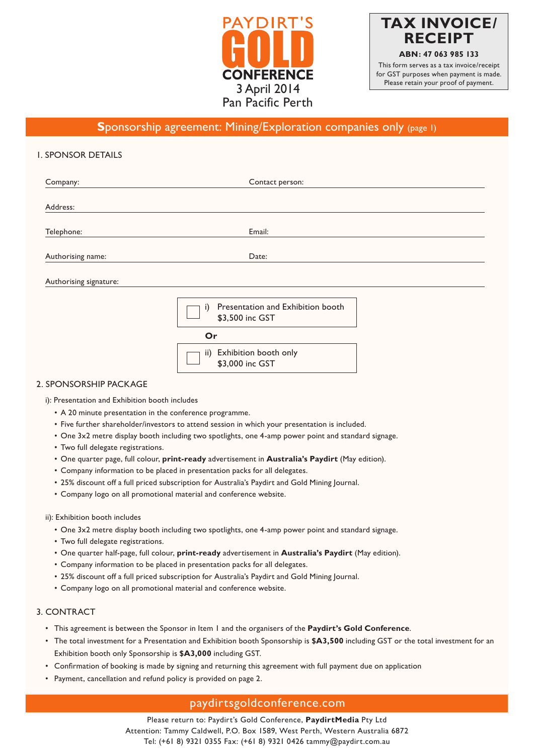



# **Sponsorship agreement: Mining/Exploration companies only (page 1)**

# 1. SPONSOR DETAILS

| Company:               | Contact person:                                            |  |
|------------------------|------------------------------------------------------------|--|
| Address:               |                                                            |  |
| Telephone:             | Email:                                                     |  |
| Authorising name:      | Date:                                                      |  |
| Authorising signature: |                                                            |  |
|                        | Presentation and Exhibition booth<br>i)<br>\$3,500 inc GST |  |
|                        | Or                                                         |  |
|                        | Exhibition booth only<br>$\mathsf{ii}$                     |  |

### 2. SPONSORSHIP PACKAGE

i): Presentation and Exhibition booth includes

- A 20 minute presentation in the conference programme.
- • Five further shareholder/investors to attend session in which your presentation is included.
- One 3x2 metre display booth including two spotlights, one 4-amp power point and standard signage.

\$3,000 inc GST

- Two full delegate registrations.
- One quarter page, full colour, **print-ready** advertisement in **Australia's Paydirt** (May edition).
- Company information to be placed in presentation packs for all delegates.
- 25% discount off a full priced subscription for Australia's Paydirt and Gold Mining Journal.
- Company logo on all promotional material and conference website.

#### ii): Exhibition booth includes

- • One 3x2 metre display booth including two spotlights, one 4-amp power point and standard signage.
- Two full delegate registrations.
- One quarter half-page, full colour, **print-ready** advertisement in **Australia's Paydirt** (May edition).
- Company information to be placed in presentation packs for all delegates.
- 25% discount off a full priced subscription for Australia's Paydirt and Gold Mining Journal.
- Company logo on all promotional material and conference website.

# 3. CONTRACT

- This agreement is between the Sponsor in Item 1 and the organisers of the **Paydirt's Gold Conference**.
- The total investment for a Presentation and Exhibition booth Sponsorship is \$A3,500 including GST or the total investment for an Exhibition booth only Sponsorship is **\$A3,000** including GST.
- Confirmation of booking is made by signing and returning this agreement with full payment due on application
- Payment, cancellation and refund policy is provided on page 2.

# paydirtsgoldconference.com

Please return to: Paydirt's Gold Conference, **PaydirtMedia** Pty Ltd Attention: Tammy Caldwell, P.O. Box 1589, West Perth, Western Australia 6872 Tel: (+61 8) 9321 0355 Fax: (+61 8) 9321 0426 tammy@paydirt.com.au